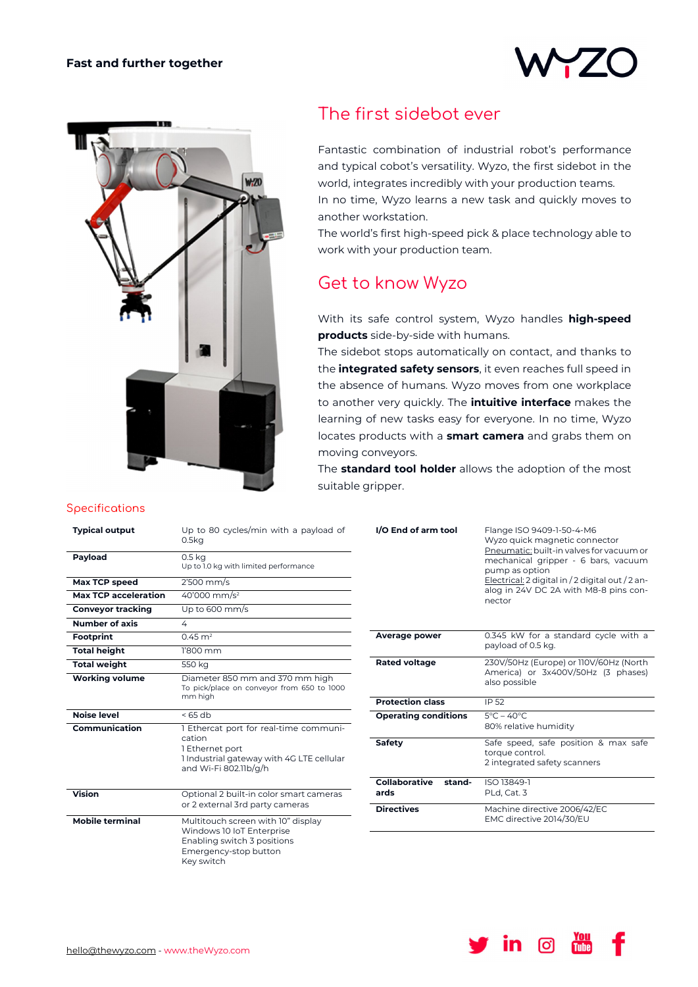



## The first sidebot ever

Fantastic combination of industrial robot's performance and typical cobot's versatility. Wyzo, the first sidebot in the world, integrates incredibly with your production teams. In no time, Wyzo learns a new task and quickly moves to another workstation.

The world's first high-speed pick & place technology able to work with your production team.

## Get to know Wyzo

With its safe control system, Wyzo handles **high-speed products** side-by-side with humans.

The sidebot stops automatically on contact, and thanks to the **integrated safety sensors**, it even reaches full speed in the absence of humans. Wyzo moves from one workplace to another very quickly. The **intuitive interface** makes the learning of new tasks easy for everyone. In no time, Wyzo locates products with a **smart camera** and grabs them on moving conveyors.

The **standard tool holder** allows the adoption of the most suitable gripper.

|  |  |  |  | Specifications |
|--|--|--|--|----------------|
|  |  |  |  |                |

| <b>Typical output</b>       | Up to 80 cycles/min with a payload of<br>0.5 <sub>kq</sub>                                                                                |
|-----------------------------|-------------------------------------------------------------------------------------------------------------------------------------------|
| Payload                     | 0.5 <sub>kq</sub><br>Up to 1.0 kg with limited performance                                                                                |
| Max TCP speed               | $2'500$ mm/s                                                                                                                              |
| <b>Max TCP acceleration</b> | 40'000 mm/s <sup>2</sup>                                                                                                                  |
| <b>Conveyor tracking</b>    | Up to 600 mm/s                                                                                                                            |
| <b>Number of axis</b>       | 4                                                                                                                                         |
| <b>Footprint</b>            | $0.45 \text{ m}^2$                                                                                                                        |
| <b>Total height</b>         | 1'800 mm                                                                                                                                  |
| <b>Total weight</b>         | 550 kg                                                                                                                                    |
| <b>Working volume</b>       | Diameter 850 mm and 370 mm high<br>To pick/place on conveyor from 650 to 1000<br>mm high                                                  |
| Noise level                 | $<$ 65 db                                                                                                                                 |
| Communication               | 1 Ethercat port for real-time communi-<br>cation<br>1 Ethernet port<br>1 Industrial gateway with 4G LTE cellular<br>and Wi-Fi 802.11b/g/h |
| <b>Vision</b>               | Optional 2 built-in color smart cameras<br>or 2 external 3rd party cameras                                                                |
| <b>Mobile terminal</b>      | Multitouch screen with 10" display<br>Windows 10 IoT Enterprise<br>Enabling switch 3 positions<br>Emergency-stop button<br>Key switch     |

| I/O End of arm tool             | Flange ISO 9409-1-50-4-M6<br>Wyzo quick magnetic connector<br>Pneumatic: built-in valves for vacuum or<br>mechanical gripper - 6 bars, vacuum<br>pump as option<br>Electrical: 2 digital in / 2 digital out / 2 an-<br>alog in 24V DC 2A with M8-8 pins con-<br>nector |
|---------------------------------|------------------------------------------------------------------------------------------------------------------------------------------------------------------------------------------------------------------------------------------------------------------------|
| <b>Average power</b>            | 0.345 kW for a standard cycle with a<br>payload of 0.5 kg.                                                                                                                                                                                                             |
| <b>Rated voltage</b>            | 230V/50Hz (Europe) or 110V/60Hz (North<br>America) or 3x400V/50Hz (3 phases)<br>also possible                                                                                                                                                                          |
| <b>Protection class</b>         | IP 52                                                                                                                                                                                                                                                                  |
| <b>Operating conditions</b>     | $5^{\circ}$ C – 40 $^{\circ}$ C<br>80% relative humidity                                                                                                                                                                                                               |
| Safety                          | Safe speed, safe position & max safe<br>torque control.<br>2 integrated safety scanners                                                                                                                                                                                |
| Collaborative<br>stand-<br>ards | ISO 13849-1<br>PLd, Cat. 3                                                                                                                                                                                                                                             |
| <b>Directives</b>               | Machine directive 2006/42/EC<br>EMC directive 2014/30/EU                                                                                                                                                                                                               |